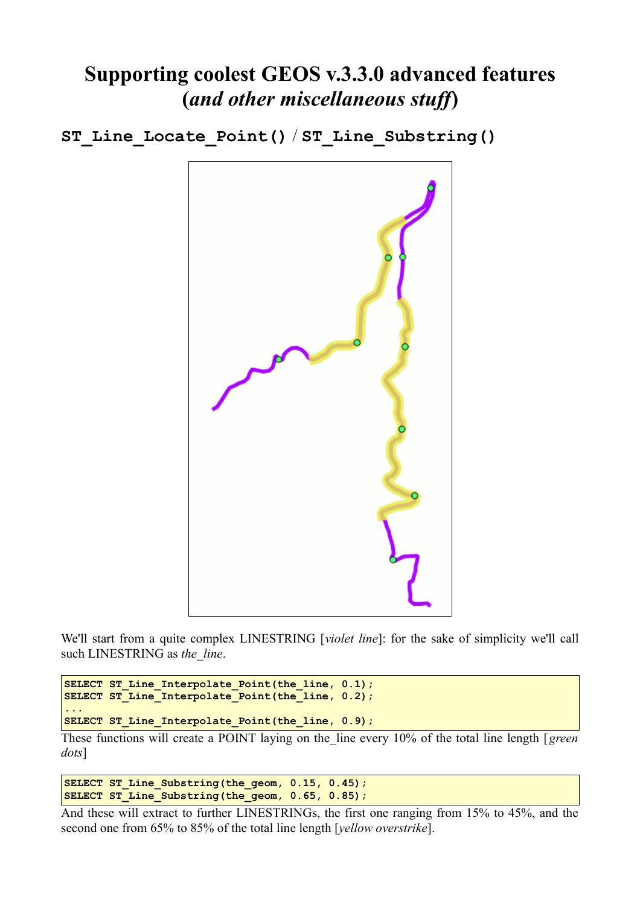## **Supporting coolest GEOS v.3.3.0 advanced features (***and other miscellaneous stuff***)**

**ST\_Line\_Locate\_Point()** / **ST\_Line\_Substring()**



We'll start from a quite complex LINESTRING [*violet line*]: for the sake of simplicity we'll call such LINESTRING as the line.

```
SELECT ST_Line_Interpolate_Point(the_line, 0.1);
SELECT ST_Line_Interpolate_Point(the_line, 0.2);
...
SELECT ST_Line_Interpolate_Point(the_line, 0.9);
```
These functions will create a POINT laying on the\_line every 10% of the total line length [*green dots*]

**SELECT ST\_Line\_Substring(the\_geom, 0.15, 0.45);** SELECT ST\_Line\_Substring(the\_geom, 0.65, 0.85);

And these will extract to further LINESTRINGs, the first one ranging from 15% to 45%, and the second one from 65% to 85% of the total line length [*yellow overstrike*].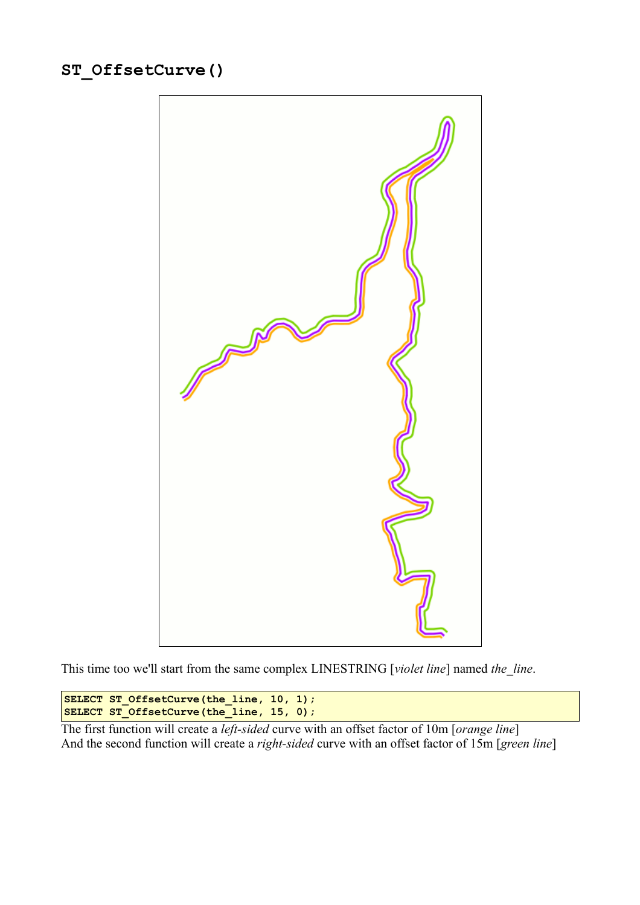```
ST_OffsetCurve()
```


This time too we'll start from the same complex LINESTRING [*violet line*] named *the\_line*.

```
SELECT ST OffsetCurve(the line, 10, 1);
SELECT ST_OffsetCurve(the_line, 15, 0);
```
The first function will create a *left-sided* curve with an offset factor of 10m [*orange line*] And the second function will create a *right-sided* curve with an offset factor of 15m [*green line*]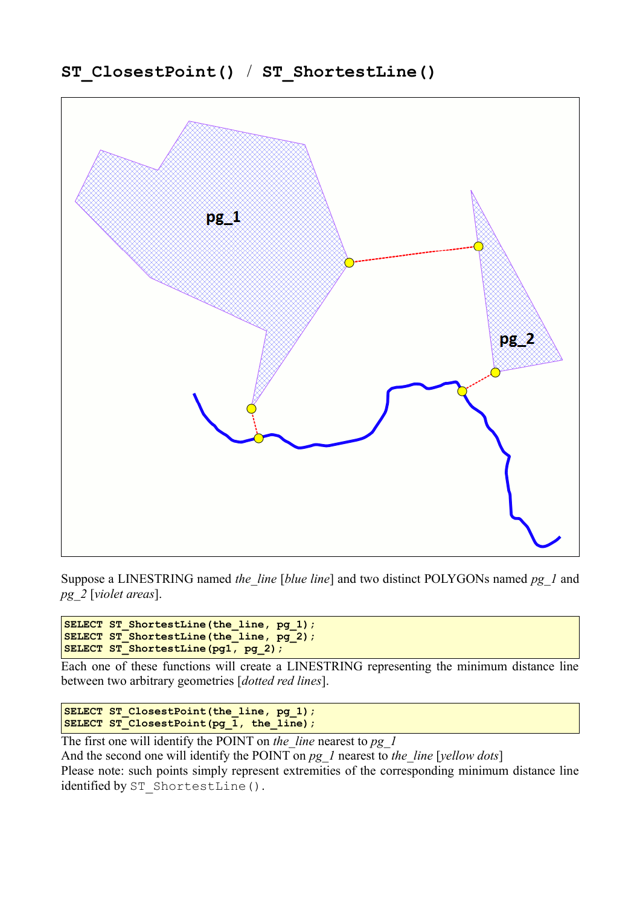

Suppose a LINESTRING named *the\_line* [*blue line*] and two distinct POLYGONs named *pg\_1* and *pg\_2* [*violet areas*].

SELECT ST ShortestLine(the line, pg 1); **SELECT ST\_ShortestLine(the\_line, pg\_2);** SELECT ST\_ShortestLine(pg1, pg 2);

Each one of these functions will create a LINESTRING representing the minimum distance line between two arbitrary geometries [*dotted red lines*].

SELECT ST ClosestPoint(the line, pg 1); **SELECT ST\_ClosestPoint(pg\_1, the\_line);**

The first one will identify the POINT on *the\_line* nearest to *pg\_1*

And the second one will identify the POINT on *pg\_1* nearest to *the\_line* [*yellow dots*]

Please note: such points simply represent extremities of the corresponding minimum distance line identified by ST\_ShortestLine().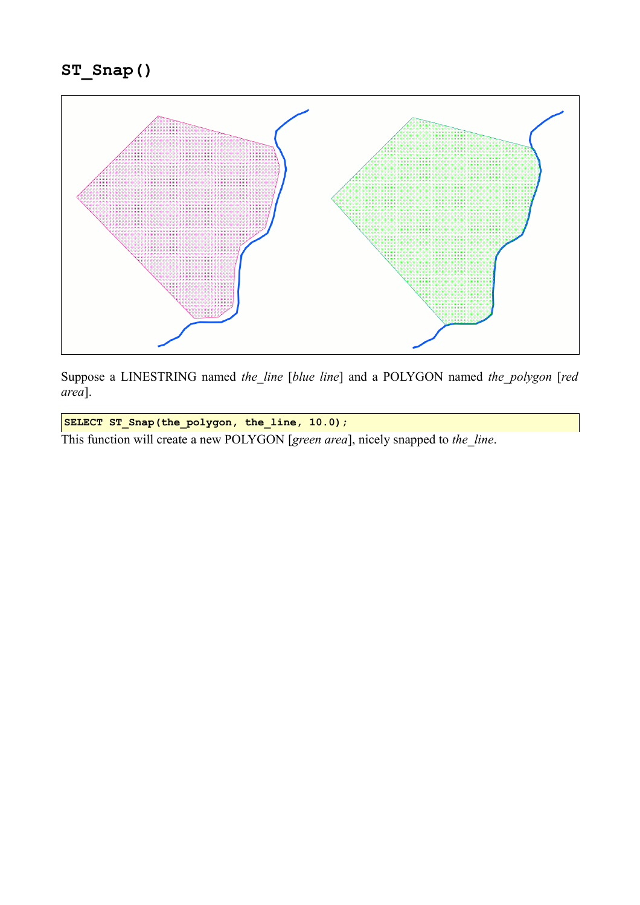

Suppose a LINESTRING named *the\_line* [*blue line*] and a POLYGON named *the\_polygon* [*red area*].

**SELECT ST\_Snap(the\_polygon, the\_line, 10.0);**

This function will create a new POLYGON [*green area*], nicely snapped to *the\_line*.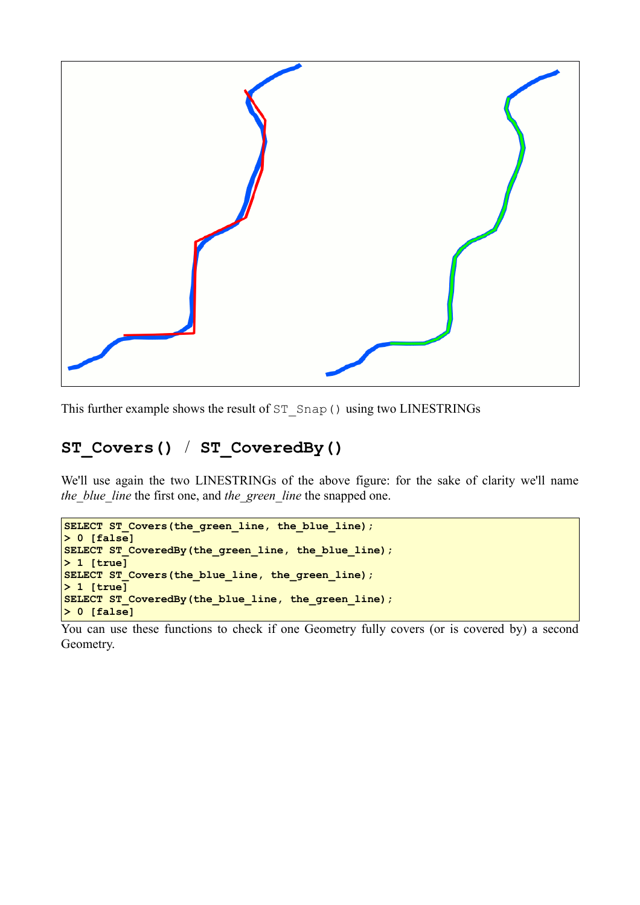

This further example shows the result of ST\_Snap() using two LINESTRINGs

#### **ST\_Covers()** / **ST\_CoveredBy()**

We'll use again the two LINESTRINGs of the above figure: for the sake of clarity we'll name *the\_blue\_line* the first one, and *the\_green\_line* the snapped one.

```
SELECT ST Covers(the green line, the blue line);
> 0 [false]
SELECT ST CoveredBy(the green line, the blue line);
> 1 [true]
SELECT ST_Covers(the_blue_line, the_green_line);
> 1 [true]
SELECT ST_CoveredBy(the_blue_line, the_green_line);
> 0 [false]
```
You can use these functions to check if one Geometry fully covers (or is covered by) a second Geometry.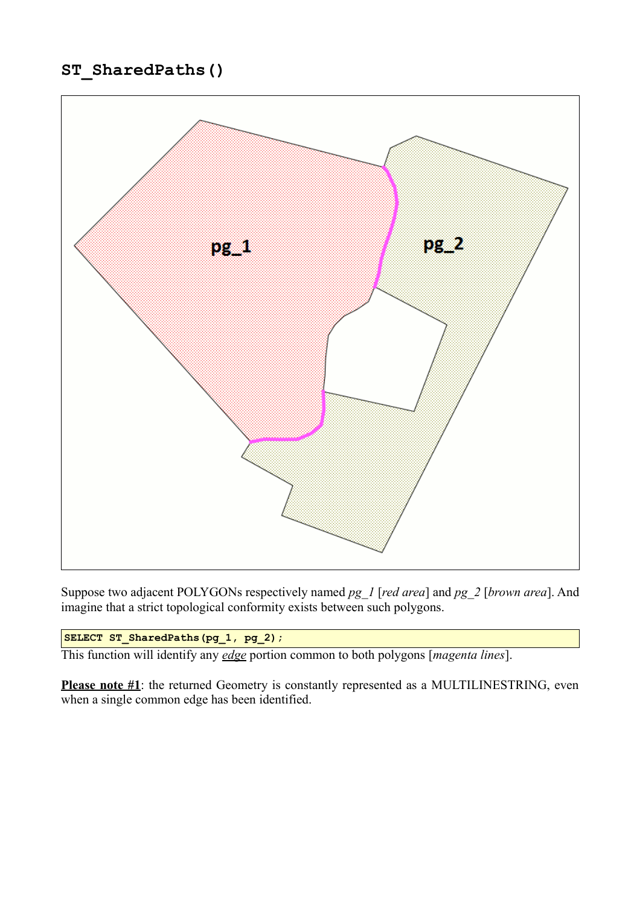#### **ST\_SharedPaths()**



Suppose two adjacent POLYGONs respectively named *pg\_1* [*red area*] and *pg\_2* [*brown area*]. And imagine that a strict topological conformity exists between such polygons.

**SELECT ST\_SharedPaths(pg\_1, pg\_2);**

This function will identify any *edge* portion common to both polygons [*magenta lines*].

Please note #1: the returned Geometry is constantly represented as a MULTILINESTRING, even when a single common edge has been identified.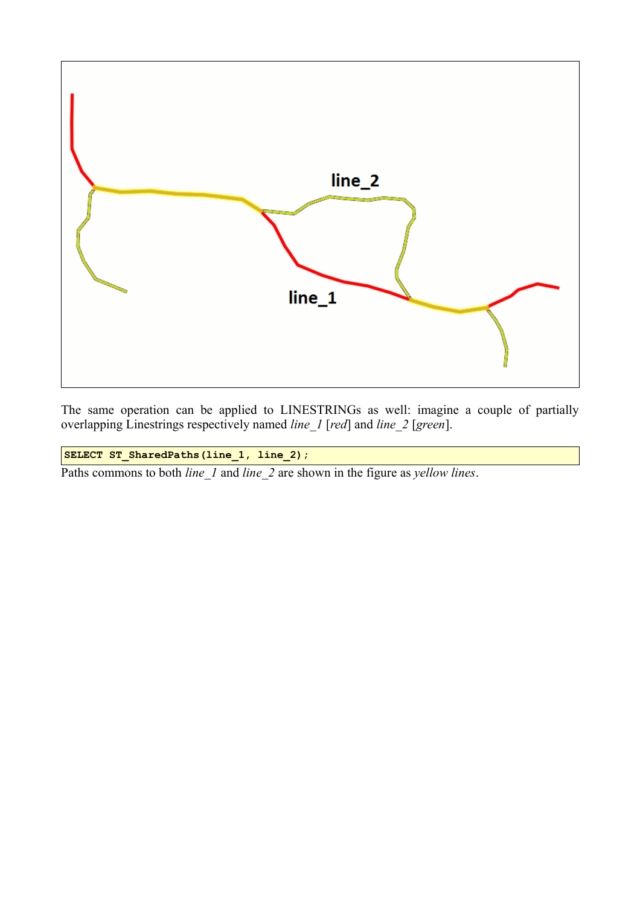

The same operation can be applied to LINESTRINGs as well: imagine a couple of partially overlapping Linestrings respectively named *line\_1* [*red*] and *line\_2* [*green*].

**SELECT ST\_SharedPaths(line\_1, line\_2);**

Paths commons to both *line\_1* and *line\_2* are shown in the figure as *yellow lines*.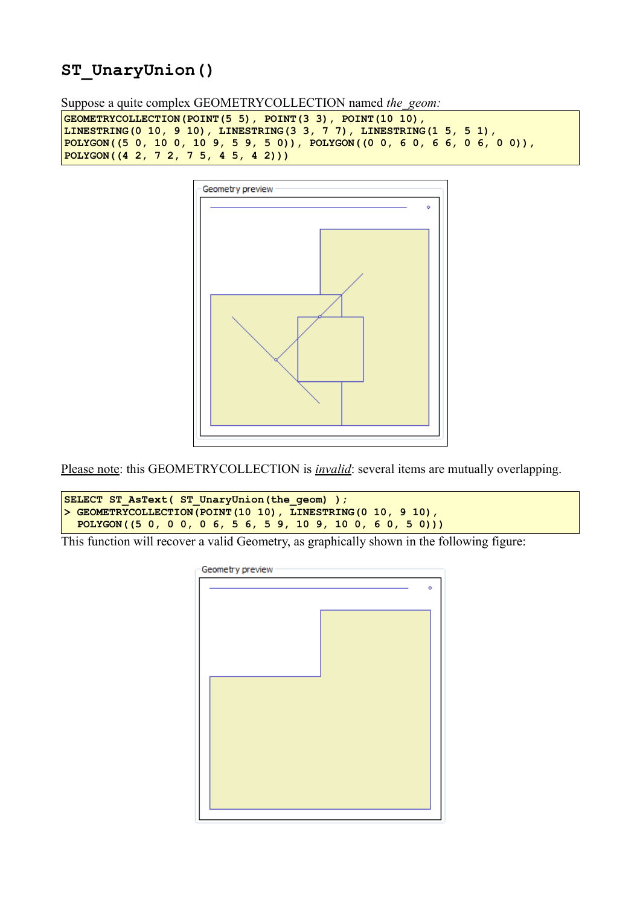#### **ST\_UnaryUnion()**

Suppose a quite complex GEOMETRYCOLLECTION named *the\_geom:*

```
GEOMETRYCOLLECTION(POINT(5 5), POINT(3 3), POINT(10 10), 
LINESTRING(0 10, 9 10), LINESTRING(3 3, 7 7), LINESTRING(1 5, 5 1),
POLYGON((5 0, 10 0, 10 9, 5 9, 5 0)), POLYGON((0 0, 6 0, 6 6, 0 6, 0 0)),
POLYGON((4 2, 7 2, 7 5, 4 5, 4 2)))
```


Please note: this GEOMETRYCOLLECTION is *invalid*: several items are mutually overlapping.

```
SELECT ST AsText( ST UnaryUnion(the geom) );
> GEOMETRYCOLLECTION(POINT(10 10), LINESTRING(0 10, 9 10),
   POLYGON((5 0, 0 0, 0 6, 5 6, 5 9, 10 9, 10 0, 6 0, 5 0)))
```
This function will recover a valid Geometry, as graphically shown in the following figure:

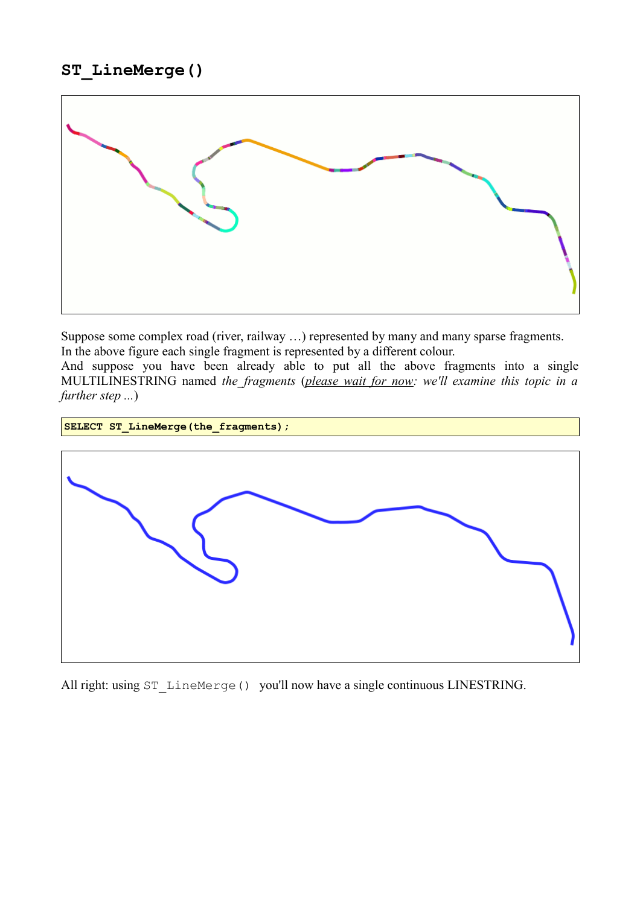

Suppose some complex road (river, railway …) represented by many and many sparse fragments. In the above figure each single fragment is represented by a different colour.

And suppose you have been already able to put all the above fragments into a single MULTILINESTRING named *the\_fragments* (*please wait for now: we'll examine this topic in a further step ...*)



All right: using ST\_LineMerge() you'll now have a single continuous LINESTRING.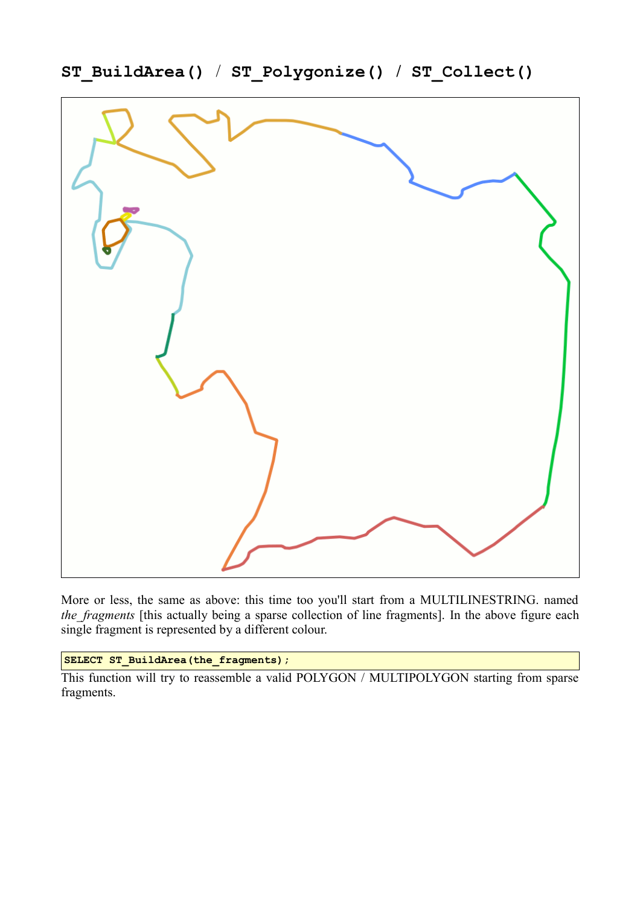

**ST\_BuildArea()** / **ST\_Polygonize() / ST\_Collect()**

More or less, the same as above: this time too you'll start from a MULTILINESTRING. named *the\_fragments* [this actually being a sparse collection of line fragments]. In the above figure each single fragment is represented by a different colour.

**SELECT ST\_BuildArea(the\_fragments);**

This function will try to reassemble a valid POLYGON / MULTIPOLYGON starting from sparse fragments.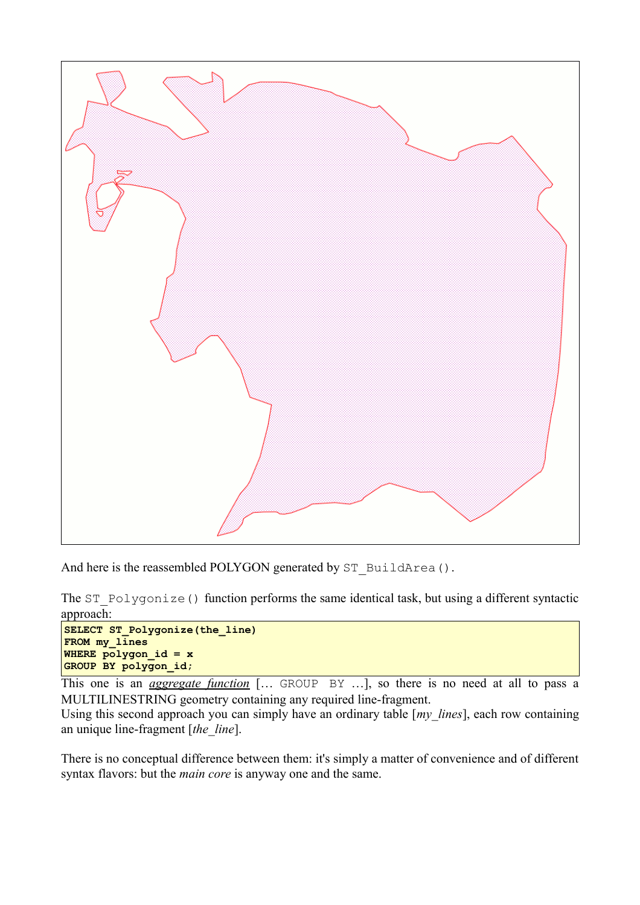

```
And here is the reassembled POLYGON generated by ST_BuildArea().
```
The ST\_Polygonize() function performs the same identical task, but using a different syntactic approach:

```
SELECT ST_Polygonize(the_line)
FROM my_lines
WHERE polygon id = xGROUP BY polygon_id;
```
This one is an *aggregate function* [… GROUP BY …], so there is no need at all to pass a MULTILINESTRING geometry containing any required line-fragment.

Using this second approach you can simply have an ordinary table [*my\_lines*], each row containing an unique line-fragment [*the\_line*].

There is no conceptual difference between them: it's simply a matter of convenience and of different syntax flavors: but the *main core* is anyway one and the same.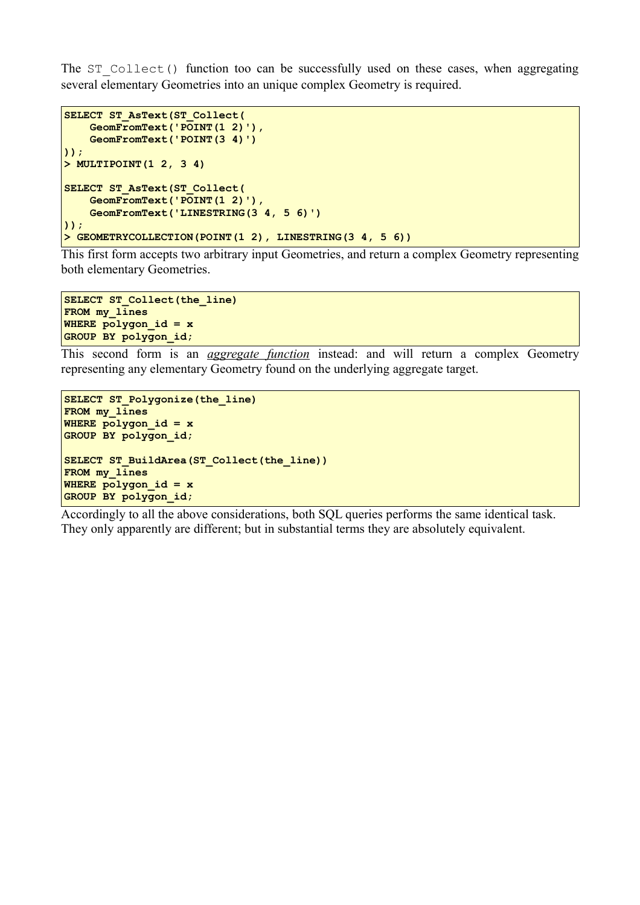The ST Collect() function too can be successfully used on these cases, when aggregating several elementary Geometries into an unique complex Geometry is required.

```
SELECT ST_AsText(ST_Collect(
     GeomFromText('POINT(1 2)'), 
     GeomFromText('POINT(3 4)')
));
> MULTIPOINT(1 2, 3 4)
SELECT ST_AsText(ST_Collect(
     GeomFromText('POINT(1 2)'),
     GeomFromText('LINESTRING(3 4, 5 6)')
));
> GEOMETRYCOLLECTION(POINT(1 2), LINESTRING(3 4, 5 6))
```
This first form accepts two arbitrary input Geometries, and return a complex Geometry representing both elementary Geometries.

```
SELECT ST_Collect(the_line)
FROM my_lines
WHERE polygon_id = x
GROUP BY polygon_id;
```
This second form is an *aggregate function* instead: and will return a complex Geometry representing any elementary Geometry found on the underlying aggregate target.

```
SELECT ST_Polygonize(the_line)
FROM my_lines
WHERE polygon_id = x
GROUP BY polygon_id;
SELECT ST_BuildArea(ST_Collect(the_line))
FROM my_lines
WHERE polygon_id = x
GROUP BY polygon_id;
```
Accordingly to all the above considerations, both SQL queries performs the same identical task. They only apparently are different; but in substantial terms they are absolutely equivalent.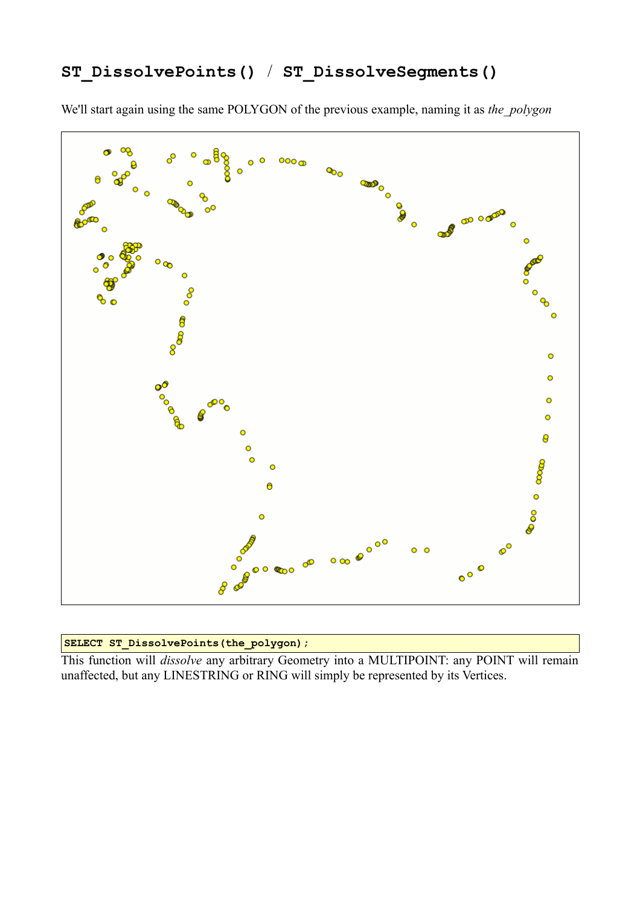### **ST\_DissolvePoints()** / **ST\_DissolveSegments()**

We'll start again using the same POLYGON of the previous example, naming it as *the\_polygon*



#### **SELECT ST\_DissolvePoints(the\_polygon);**

This function will *dissolve* any arbitrary Geometry into a MULTIPOINT: any POINT will remain unaffected, but any LINESTRING or RING will simply be represented by its Vertices.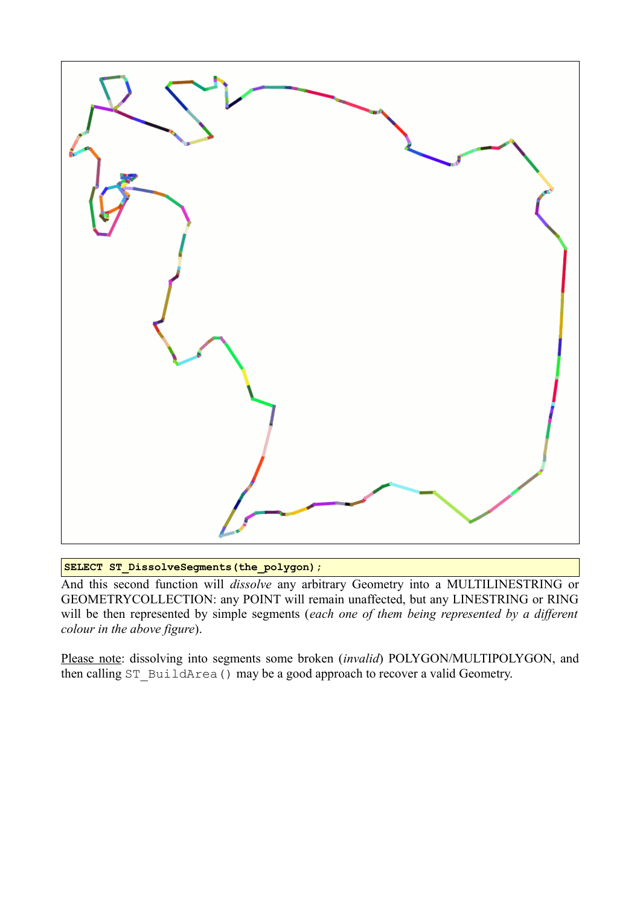

**SELECT ST\_DissolveSegments(the\_polygon);**

And this second function will *dissolve* any arbitrary Geometry into a MULTILINESTRING or GEOMETRYCOLLECTION: any POINT will remain unaffected, but any LINESTRING or RING will be then represented by simple segments (*each one of them being represented by a different colour in the above figure*).

Please note: dissolving into segments some broken (*invalid*) POLYGON/MULTIPOLYGON, and then calling ST\_BuildArea() may be a good approach to recover a valid Geometry.